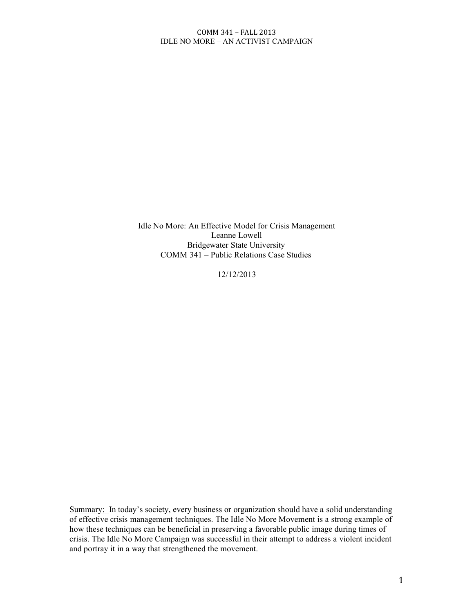Idle No More: An Effective Model for Crisis Management Leanne Lowell Bridgewater State University COMM 341 – Public Relations Case Studies

12/12/2013

Summary: In today's society, every business or organization should have a solid understanding of effective crisis management techniques. The Idle No More Movement is a strong example of how these techniques can be beneficial in preserving a favorable public image during times of crisis. The Idle No More Campaign was successful in their attempt to address a violent incident and portray it in a way that strengthened the movement.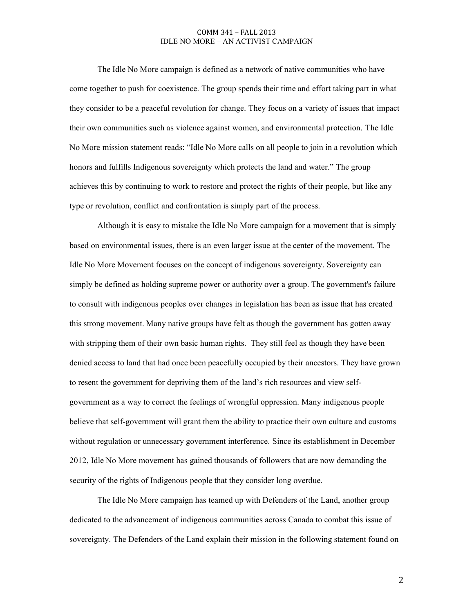The Idle No More campaign is defined as a network of native communities who have come together to push for coexistence. The group spends their time and effort taking part in what they consider to be a peaceful revolution for change. They focus on a variety of issues that impact their own communities such as violence against women, and environmental protection. The Idle No More mission statement reads: "Idle No More calls on all people to join in a revolution which honors and fulfills Indigenous sovereignty which protects the land and water." The group achieves this by continuing to work to restore and protect the rights of their people, but like any type or revolution, conflict and confrontation is simply part of the process.

Although it is easy to mistake the Idle No More campaign for a movement that is simply based on environmental issues, there is an even larger issue at the center of the movement. The Idle No More Movement focuses on the concept of indigenous sovereignty. Sovereignty can simply be defined as holding supreme power or authority over a group. The government's failure to consult with indigenous peoples over changes in legislation has been as issue that has created this strong movement. Many native groups have felt as though the government has gotten away with stripping them of their own basic human rights. They still feel as though they have been denied access to land that had once been peacefully occupied by their ancestors. They have grown to resent the government for depriving them of the land's rich resources and view selfgovernment as a way to correct the feelings of wrongful oppression. Many indigenous people believe that self-government will grant them the ability to practice their own culture and customs without regulation or unnecessary government interference. Since its establishment in December 2012, Idle No More movement has gained thousands of followers that are now demanding the security of the rights of Indigenous people that they consider long overdue.

The Idle No More campaign has teamed up with Defenders of the Land, another group dedicated to the advancement of indigenous communities across Canada to combat this issue of sovereignty. The Defenders of the Land explain their mission in the following statement found on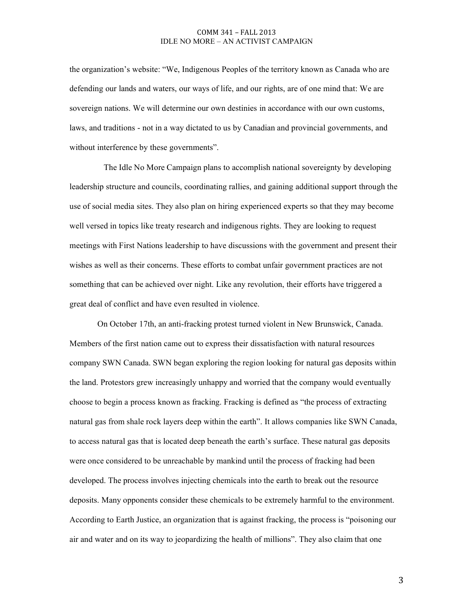the organization's website: "We, Indigenous Peoples of the territory known as Canada who are defending our lands and waters, our ways of life, and our rights, are of one mind that: We are sovereign nations. We will determine our own destinies in accordance with our own customs, laws, and traditions - not in a way dictated to us by Canadian and provincial governments, and without interference by these governments".

The Idle No More Campaign plans to accomplish national sovereignty by developing leadership structure and councils, coordinating rallies, and gaining additional support through the use of social media sites. They also plan on hiring experienced experts so that they may become well versed in topics like treaty research and indigenous rights. They are looking to request meetings with First Nations leadership to have discussions with the government and present their wishes as well as their concerns. These efforts to combat unfair government practices are not something that can be achieved over night. Like any revolution, their efforts have triggered a great deal of conflict and have even resulted in violence.

On October 17th, an anti-fracking protest turned violent in New Brunswick, Canada. Members of the first nation came out to express their dissatisfaction with natural resources company SWN Canada. SWN began exploring the region looking for natural gas deposits within the land. Protestors grew increasingly unhappy and worried that the company would eventually choose to begin a process known as fracking. Fracking is defined as "the process of extracting natural gas from shale rock layers deep within the earth". It allows companies like SWN Canada, to access natural gas that is located deep beneath the earth's surface. These natural gas deposits were once considered to be unreachable by mankind until the process of fracking had been developed. The process involves injecting chemicals into the earth to break out the resource deposits. Many opponents consider these chemicals to be extremely harmful to the environment. According to Earth Justice, an organization that is against fracking, the process is "poisoning our air and water and on its way to jeopardizing the health of millions". They also claim that one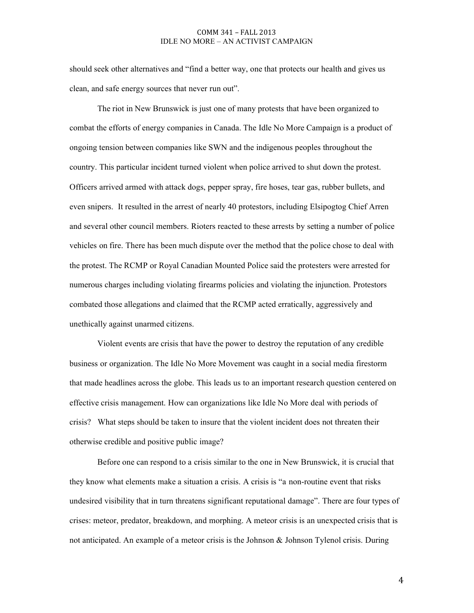should seek other alternatives and "find a better way, one that protects our health and gives us clean, and safe energy sources that never run out".

The riot in New Brunswick is just one of many protests that have been organized to combat the efforts of energy companies in Canada. The Idle No More Campaign is a product of ongoing tension between companies like SWN and the indigenous peoples throughout the country. This particular incident turned violent when police arrived to shut down the protest. Officers arrived armed with attack dogs, pepper spray, fire hoses, tear gas, rubber bullets, and even snipers. It resulted in the arrest of nearly 40 protestors, including Elsipogtog Chief Arren and several other council members. Rioters reacted to these arrests by setting a number of police vehicles on fire. There has been much dispute over the method that the police chose to deal with the protest. The RCMP or Royal Canadian Mounted Police said the protesters were arrested for numerous charges including violating firearms policies and violating the injunction. Protestors combated those allegations and claimed that the RCMP acted erratically, aggressively and unethically against unarmed citizens.

Violent events are crisis that have the power to destroy the reputation of any credible business or organization. The Idle No More Movement was caught in a social media firestorm that made headlines across the globe. This leads us to an important research question centered on effective crisis management. How can organizations like Idle No More deal with periods of crisis? What steps should be taken to insure that the violent incident does not threaten their otherwise credible and positive public image?

Before one can respond to a crisis similar to the one in New Brunswick, it is crucial that they know what elements make a situation a crisis. A crisis is "a non-routine event that risks undesired visibility that in turn threatens significant reputational damage". There are four types of crises: meteor, predator, breakdown, and morphing. A meteor crisis is an unexpected crisis that is not anticipated. An example of a meteor crisis is the Johnson & Johnson Tylenol crisis. During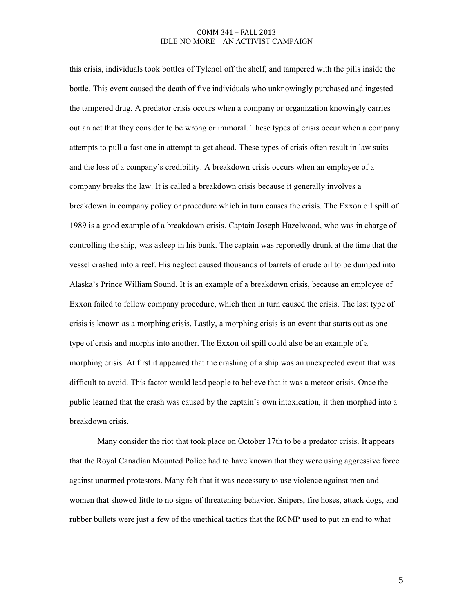this crisis, individuals took bottles of Tylenol off the shelf, and tampered with the pills inside the bottle. This event caused the death of five individuals who unknowingly purchased and ingested the tampered drug. A predator crisis occurs when a company or organization knowingly carries out an act that they consider to be wrong or immoral. These types of crisis occur when a company attempts to pull a fast one in attempt to get ahead. These types of crisis often result in law suits and the loss of a company's credibility. A breakdown crisis occurs when an employee of a company breaks the law. It is called a breakdown crisis because it generally involves a breakdown in company policy or procedure which in turn causes the crisis. The Exxon oil spill of 1989 is a good example of a breakdown crisis. Captain Joseph Hazelwood, who was in charge of controlling the ship, was asleep in his bunk. The captain was reportedly drunk at the time that the vessel crashed into a reef. His neglect caused thousands of barrels of crude oil to be dumped into Alaska's Prince William Sound. It is an example of a breakdown crisis, because an employee of Exxon failed to follow company procedure, which then in turn caused the crisis. The last type of crisis is known as a morphing crisis. Lastly, a morphing crisis is an event that starts out as one type of crisis and morphs into another. The Exxon oil spill could also be an example of a morphing crisis. At first it appeared that the crashing of a ship was an unexpected event that was difficult to avoid. This factor would lead people to believe that it was a meteor crisis. Once the public learned that the crash was caused by the captain's own intoxication, it then morphed into a breakdown crisis.

Many consider the riot that took place on October 17th to be a predator crisis. It appears that the Royal Canadian Mounted Police had to have known that they were using aggressive force against unarmed protestors. Many felt that it was necessary to use violence against men and women that showed little to no signs of threatening behavior. Snipers, fire hoses, attack dogs, and rubber bullets were just a few of the unethical tactics that the RCMP used to put an end to what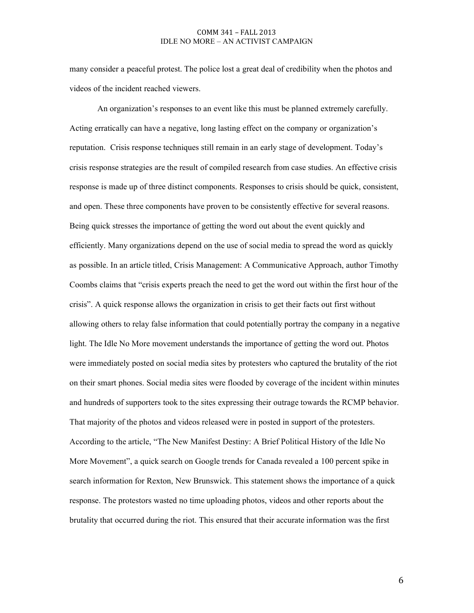many consider a peaceful protest. The police lost a great deal of credibility when the photos and videos of the incident reached viewers.

An organization's responses to an event like this must be planned extremely carefully. Acting erratically can have a negative, long lasting effect on the company or organization's reputation. Crisis response techniques still remain in an early stage of development. Today's crisis response strategies are the result of compiled research from case studies. An effective crisis response is made up of three distinct components. Responses to crisis should be quick, consistent, and open. These three components have proven to be consistently effective for several reasons. Being quick stresses the importance of getting the word out about the event quickly and efficiently. Many organizations depend on the use of social media to spread the word as quickly as possible. In an article titled, Crisis Management: A Communicative Approach, author Timothy Coombs claims that "crisis experts preach the need to get the word out within the first hour of the crisis". A quick response allows the organization in crisis to get their facts out first without allowing others to relay false information that could potentially portray the company in a negative light. The Idle No More movement understands the importance of getting the word out. Photos were immediately posted on social media sites by protesters who captured the brutality of the riot on their smart phones. Social media sites were flooded by coverage of the incident within minutes and hundreds of supporters took to the sites expressing their outrage towards the RCMP behavior. That majority of the photos and videos released were in posted in support of the protesters. According to the article, "The New Manifest Destiny: A Brief Political History of the Idle No More Movement", a quick search on Google trends for Canada revealed a 100 percent spike in search information for Rexton, New Brunswick. This statement shows the importance of a quick response. The protestors wasted no time uploading photos, videos and other reports about the brutality that occurred during the riot. This ensured that their accurate information was the first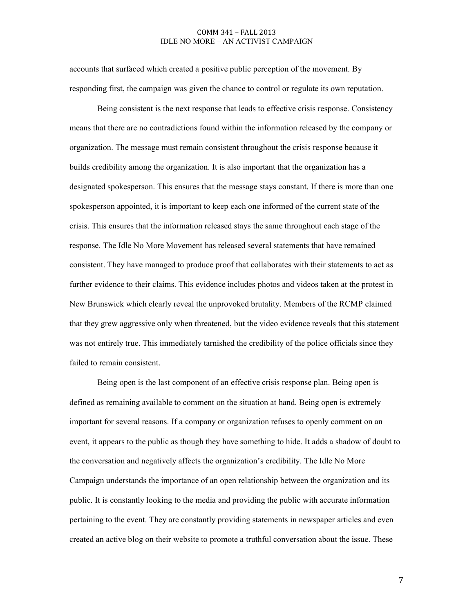accounts that surfaced which created a positive public perception of the movement. By responding first, the campaign was given the chance to control or regulate its own reputation.

Being consistent is the next response that leads to effective crisis response. Consistency means that there are no contradictions found within the information released by the company or organization. The message must remain consistent throughout the crisis response because it builds credibility among the organization. It is also important that the organization has a designated spokesperson. This ensures that the message stays constant. If there is more than one spokesperson appointed, it is important to keep each one informed of the current state of the crisis. This ensures that the information released stays the same throughout each stage of the response. The Idle No More Movement has released several statements that have remained consistent. They have managed to produce proof that collaborates with their statements to act as further evidence to their claims. This evidence includes photos and videos taken at the protest in New Brunswick which clearly reveal the unprovoked brutality. Members of the RCMP claimed that they grew aggressive only when threatened, but the video evidence reveals that this statement was not entirely true. This immediately tarnished the credibility of the police officials since they failed to remain consistent.

Being open is the last component of an effective crisis response plan. Being open is defined as remaining available to comment on the situation at hand. Being open is extremely important for several reasons. If a company or organization refuses to openly comment on an event, it appears to the public as though they have something to hide. It adds a shadow of doubt to the conversation and negatively affects the organization's credibility. The Idle No More Campaign understands the importance of an open relationship between the organization and its public. It is constantly looking to the media and providing the public with accurate information pertaining to the event. They are constantly providing statements in newspaper articles and even created an active blog on their website to promote a truthful conversation about the issue. These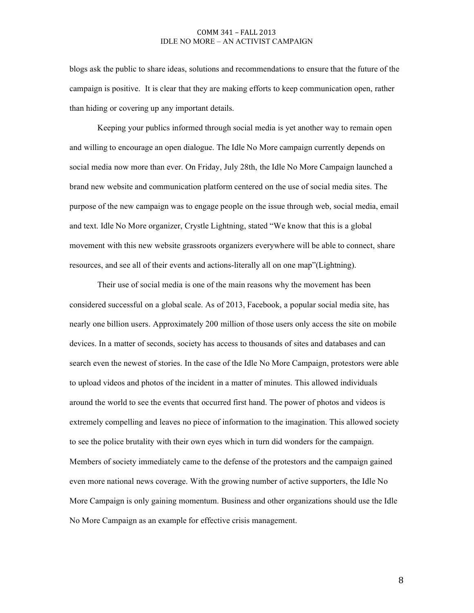blogs ask the public to share ideas, solutions and recommendations to ensure that the future of the campaign is positive. It is clear that they are making efforts to keep communication open, rather than hiding or covering up any important details.

Keeping your publics informed through social media is yet another way to remain open and willing to encourage an open dialogue. The Idle No More campaign currently depends on social media now more than ever. On Friday, July 28th, the Idle No More Campaign launched a brand new website and communication platform centered on the use of social media sites. The purpose of the new campaign was to engage people on the issue through web, social media, email and text. Idle No More organizer, Crystle Lightning, stated "We know that this is a global movement with this new website grassroots organizers everywhere will be able to connect, share resources, and see all of their events and actions-literally all on one map"(Lightning).

Their use of social media is one of the main reasons why the movement has been considered successful on a global scale. As of 2013, Facebook, a popular social media site, has nearly one billion users. Approximately 200 million of those users only access the site on mobile devices. In a matter of seconds, society has access to thousands of sites and databases and can search even the newest of stories. In the case of the Idle No More Campaign, protestors were able to upload videos and photos of the incident in a matter of minutes. This allowed individuals around the world to see the events that occurred first hand. The power of photos and videos is extremely compelling and leaves no piece of information to the imagination. This allowed society to see the police brutality with their own eyes which in turn did wonders for the campaign. Members of society immediately came to the defense of the protestors and the campaign gained even more national news coverage. With the growing number of active supporters, the Idle No More Campaign is only gaining momentum. Business and other organizations should use the Idle No More Campaign as an example for effective crisis management.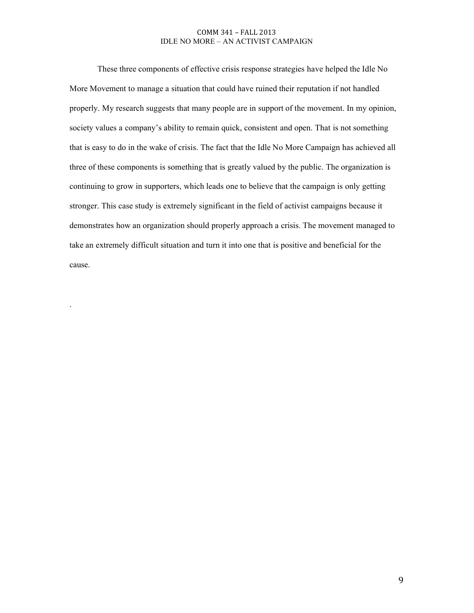These three components of effective crisis response strategies have helped the Idle No More Movement to manage a situation that could have ruined their reputation if not handled properly. My research suggests that many people are in support of the movement. In my opinion, society values a company's ability to remain quick, consistent and open. That is not something that is easy to do in the wake of crisis. The fact that the Idle No More Campaign has achieved all three of these components is something that is greatly valued by the public. The organization is continuing to grow in supporters, which leads one to believe that the campaign is only getting stronger. This case study is extremely significant in the field of activist campaigns because it demonstrates how an organization should properly approach a crisis. The movement managed to take an extremely difficult situation and turn it into one that is positive and beneficial for the cause.

.